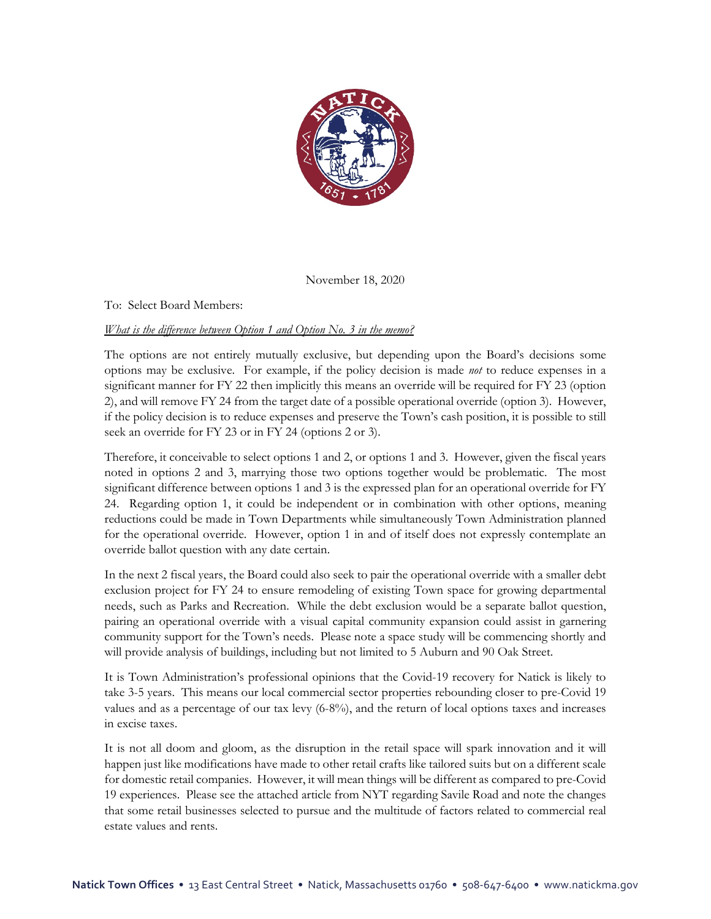

November 18, 2020

To: Select Board Members:

## *What is the difference between Option 1 and Option No. 3 in the memo?*

The options are not entirely mutually exclusive, but depending upon the Board's decisions some options may be exclusive. For example, if the policy decision is made *not* to reduce expenses in a significant manner for FY 22 then implicitly this means an override will be required for FY 23 (option 2), and will remove FY 24 from the target date of a possible operational override (option 3). However, if the policy decision is to reduce expenses and preserve the Town's cash position, it is possible to still seek an override for FY 23 or in FY 24 (options 2 or 3).

Therefore, it conceivable to select options 1 and 2, or options 1 and 3. However, given the fiscal years noted in options 2 and 3, marrying those two options together would be problematic. The most significant difference between options 1 and 3 is the expressed plan for an operational override for FY 24. Regarding option 1, it could be independent or in combination with other options, meaning reductions could be made in Town Departments while simultaneously Town Administration planned for the operational override. However, option 1 in and of itself does not expressly contemplate an override ballot question with any date certain.

In the next 2 fiscal years, the Board could also seek to pair the operational override with a smaller debt exclusion project for FY 24 to ensure remodeling of existing Town space for growing departmental needs, such as Parks and Recreation. While the debt exclusion would be a separate ballot question, pairing an operational override with a visual capital community expansion could assist in garnering community support for the Town's needs. Please note a space study will be commencing shortly and will provide analysis of buildings, including but not limited to 5 Auburn and 90 Oak Street.

It is Town Administration's professional opinions that the Covid-19 recovery for Natick is likely to take 3-5 years. This means our local commercial sector properties rebounding closer to pre-Covid 19 values and as a percentage of our tax levy (6-8%), and the return of local options taxes and increases in excise taxes.

It is not all doom and gloom, as the disruption in the retail space will spark innovation and it will happen just like modifications have made to other retail crafts like tailored suits but on a different scale for domestic retail companies. However, it will mean things will be different as compared to pre-Covid 19 experiences. Please see the attached article from NYT regarding Savile Road and note the changes that some retail businesses selected to pursue and the multitude of factors related to commercial real estate values and rents.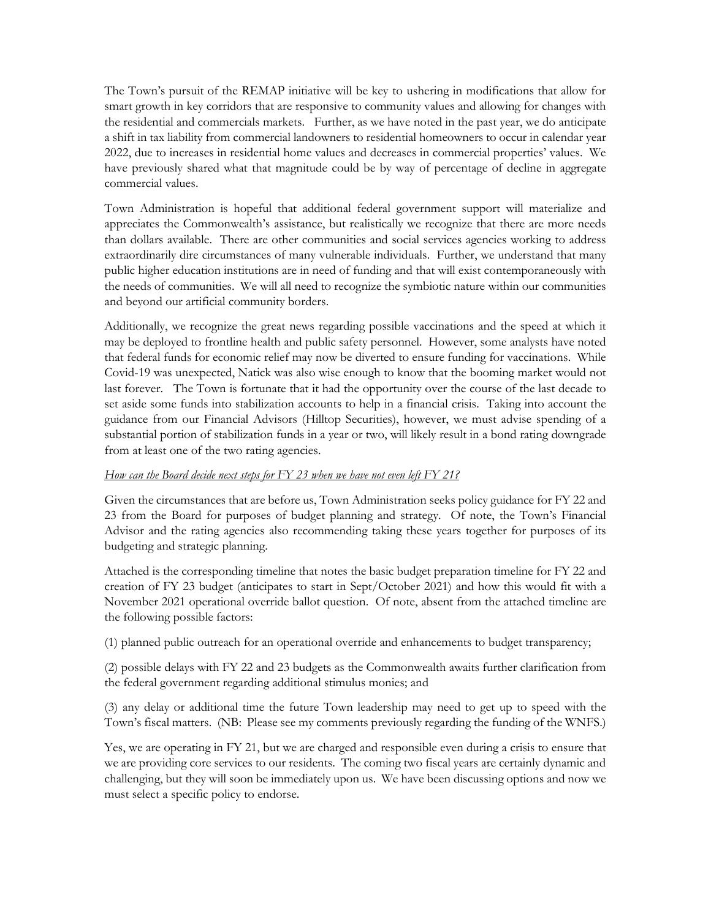The Town's pursuit of the REMAP initiative will be key to ushering in modifications that allow for smart growth in key corridors that are responsive to community values and allowing for changes with the residential and commercials markets. Further, as we have noted in the past year, we do anticipate a shift in tax liability from commercial landowners to residential homeowners to occur in calendar year 2022, due to increases in residential home values and decreases in commercial properties' values. We have previously shared what that magnitude could be by way of percentage of decline in aggregate commercial values.

Town Administration is hopeful that additional federal government support will materialize and appreciates the Commonwealth's assistance, but realistically we recognize that there are more needs than dollars available. There are other communities and social services agencies working to address extraordinarily dire circumstances of many vulnerable individuals. Further, we understand that many public higher education institutions are in need of funding and that will exist contemporaneously with the needs of communities. We will all need to recognize the symbiotic nature within our communities and beyond our artificial community borders.

Additionally, we recognize the great news regarding possible vaccinations and the speed at which it may be deployed to frontline health and public safety personnel. However, some analysts have noted that federal funds for economic relief may now be diverted to ensure funding for vaccinations. While Covid-19 was unexpected, Natick was also wise enough to know that the booming market would not last forever. The Town is fortunate that it had the opportunity over the course of the last decade to set aside some funds into stabilization accounts to help in a financial crisis. Taking into account the guidance from our Financial Advisors (Hilltop Securities), however, we must advise spending of a substantial portion of stabilization funds in a year or two, will likely result in a bond rating downgrade from at least one of the two rating agencies.

## *How can the Board decide next steps for FY 23 when we have not even left FY 21?*

Given the circumstances that are before us, Town Administration seeks policy guidance for FY 22 and 23 from the Board for purposes of budget planning and strategy. Of note, the Town's Financial Advisor and the rating agencies also recommending taking these years together for purposes of its budgeting and strategic planning.

Attached is the corresponding timeline that notes the basic budget preparation timeline for FY 22 and creation of FY 23 budget (anticipates to start in Sept/October 2021) and how this would fit with a November 2021 operational override ballot question. Of note, absent from the attached timeline are the following possible factors:

(1) planned public outreach for an operational override and enhancements to budget transparency;

(2) possible delays with FY 22 and 23 budgets as the Commonwealth awaits further clarification from the federal government regarding additional stimulus monies; and

(3) any delay or additional time the future Town leadership may need to get up to speed with the Town's fiscal matters. (NB: Please see my comments previously regarding the funding of the WNFS.)

Yes, we are operating in FY 21, but we are charged and responsible even during a crisis to ensure that we are providing core services to our residents. The coming two fiscal years are certainly dynamic and challenging, but they will soon be immediately upon us. We have been discussing options and now we must select a specific policy to endorse.